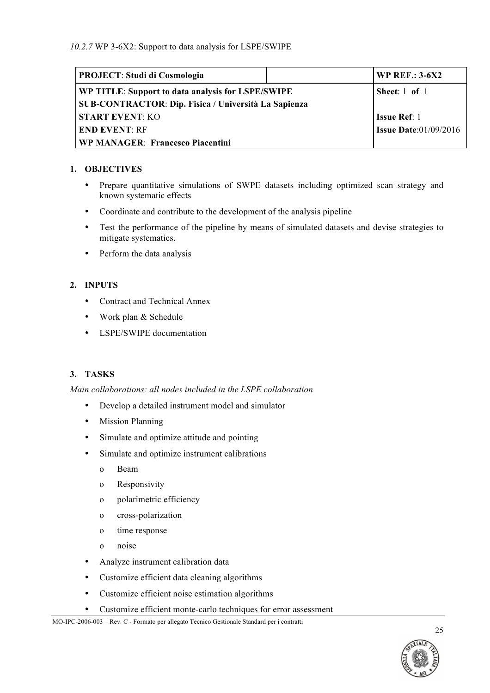| <b>PROJECT: Studi di Cosmologia</b>                  | <b>WP REF.: 3-6X2</b>           |
|------------------------------------------------------|---------------------------------|
| WP TITLE: Support to data analysis for LSPE/SWIPE    | Sheet: $1$ of $1$               |
| SUB-CONTRACTOR: Dip. Fisica / Università La Sapienza |                                 |
| <b>START EVENT: KO</b>                               | <b>Issue Ref: 1</b>             |
| <b>END EVENT: RF</b>                                 | <b>Issue Date:</b> $01/09/2016$ |
| <b>WP MANAGER: Francesco Piacentini</b>              |                                 |

## **1. OBJECTIVES**

- Prepare quantitative simulations of SWPE datasets including optimized scan strategy and known systematic effects
- Coordinate and contribute to the development of the analysis pipeline
- Test the performance of the pipeline by means of simulated datasets and devise strategies to mitigate systematics.
- Perform the data analysis

# **2. INPUTS**

- Contract and Technical Annex
- Work plan & Schedule
- LSPE/SWIPE documentation

# **3. TASKS**

*Main collaborations: all nodes included in the LSPE collaboration*

- Develop a detailed instrument model and simulator
- Mission Planning
- Simulate and optimize attitude and pointing
- Simulate and optimize instrument calibrations
	- o Beam
	- o Responsivity
	- o polarimetric efficiency
	- o cross-polarization
	- o time response
	- o noise
- Analyze instrument calibration data
- Customize efficient data cleaning algorithms
- Customize efficient noise estimation algorithms
- Customize efficient monte-carlo techniques for error assessment

MO-IPC-2006-003 – Rev. C - Formato per allegato Tecnico Gestionale Standard per i contratti